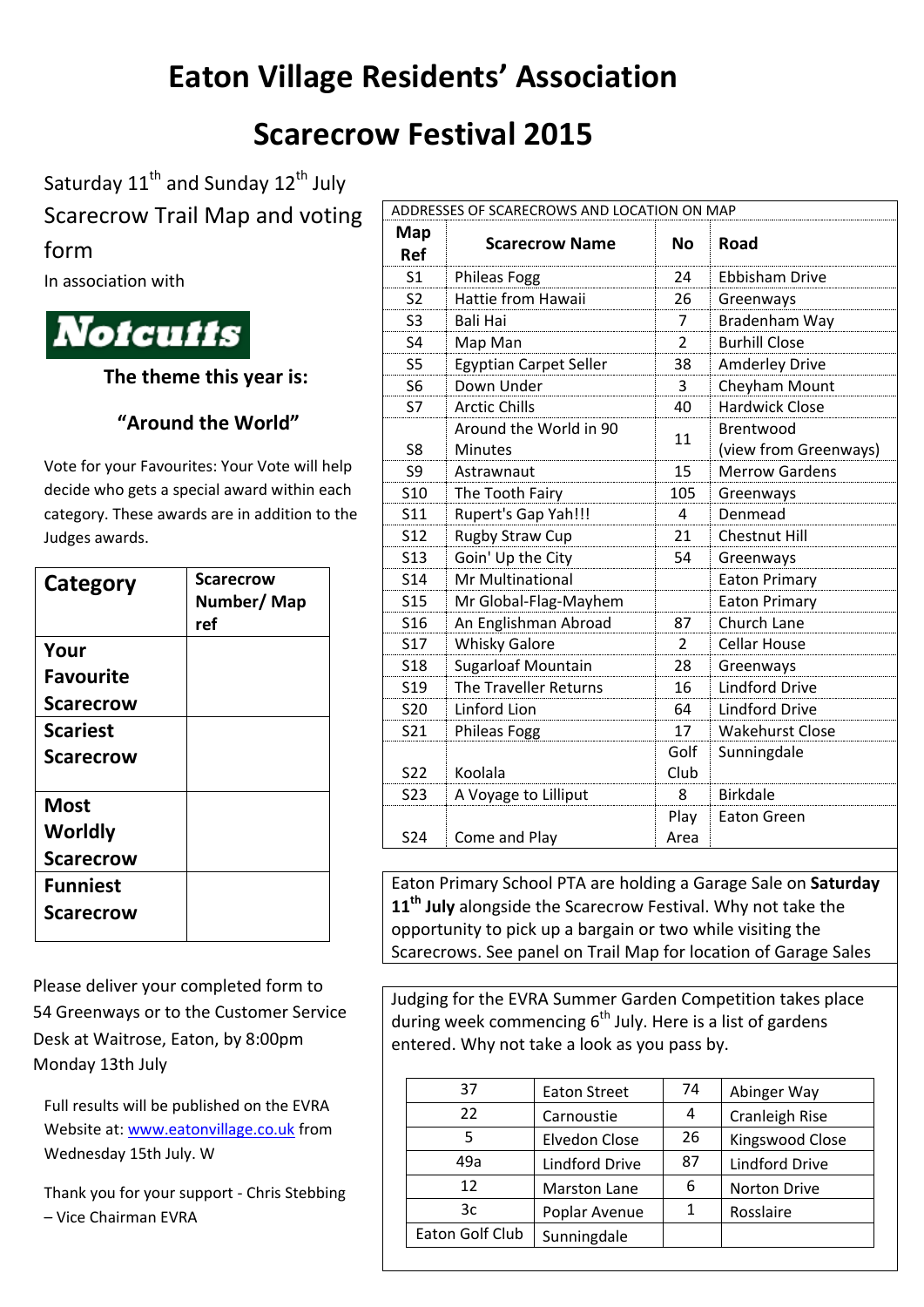## **Eaton Village Residents' Association**

## **Scarecrow Festival 2015**

Saturday  $11^{\text{th}}$  and Sunday  $12^{\text{th}}$  July

Scarecrow Trail Map and voting

form

In association with



**The theme this year is:**

## **"Around the World"**

Vote for your Favourites: Your Vote will help decide who gets a special award within each category. These awards are in addition to the Judges awards.

| Category         | <b>Scarecrow</b><br>Number/Map<br>ref |
|------------------|---------------------------------------|
| Your             |                                       |
| <b>Favourite</b> |                                       |
| <b>Scarecrow</b> |                                       |
| <b>Scariest</b>  |                                       |
| <b>Scarecrow</b> |                                       |
| <b>Most</b>      |                                       |
| Worldly          |                                       |
| <b>Scarecrow</b> |                                       |
| <b>Funniest</b>  |                                       |
| <b>Scarecrow</b> |                                       |

Please deliver your completed form to 54 Greenways or to the Customer Service Desk at Waitrose, Eaton, by 8:00pm Monday 13th July

Full results will be published on the EVRA Website at: [www.eatonvillage.co.uk](http://www.eatonvillage.co.uk/) from Wednesday 15th July. W

Thank you for your support - Chris Stebbing – Vice Chairman EVRA

| ADDRESSES OF SCARECROWS AND LOCATION ON MAP |                               |                |                        |  |  |
|---------------------------------------------|-------------------------------|----------------|------------------------|--|--|
| Map                                         | <b>Scarecrow Name</b>         | No             | Road                   |  |  |
| <b>Ref</b>                                  |                               |                |                        |  |  |
| S <sub>1</sub>                              | Phileas Fogg                  | 24             | <b>Ebbisham Drive</b>  |  |  |
| S <sub>2</sub>                              | Hattie from Hawaii            | 26             | Greenways              |  |  |
| S <sub>3</sub>                              | <b>Bali Hai</b>               | 7              | Bradenham Way          |  |  |
| S <sub>4</sub>                              | Map Man                       | 2              | <b>Burhill Close</b>   |  |  |
| S <sub>5</sub>                              | <b>Egyptian Carpet Seller</b> | 38             | <b>Amderley Drive</b>  |  |  |
| S <sub>6</sub>                              | Down Under                    | 3              | Cheyham Mount          |  |  |
| <b>S7</b>                                   | <b>Arctic Chills</b>          | 40             | <b>Hardwick Close</b>  |  |  |
|                                             | Around the World in 90        | 11             | Brentwood              |  |  |
| S8                                          | <b>Minutes</b>                |                | (view from Greenways)  |  |  |
| S9                                          | Astrawnaut                    | 15             | <b>Merrow Gardens</b>  |  |  |
| <b>S10</b>                                  | The Tooth Fairy               | 105            | Greenways              |  |  |
| S <sub>11</sub>                             | Rupert's Gap Yah!!!           | 4              | Denmead                |  |  |
| <b>S12</b>                                  | Rugby Straw Cup               | 21             | <b>Chestnut Hill</b>   |  |  |
| S <sub>1</sub> 3                            | Goin' Up the City             | 54             | Greenways              |  |  |
| <b>S14</b>                                  | <b>Mr Multinational</b>       |                | <b>Eaton Primary</b>   |  |  |
| <b>S15</b>                                  | Mr Global-Flag-Mayhem         |                | <b>Eaton Primary</b>   |  |  |
| S <sub>16</sub>                             | An Englishman Abroad          | 87             | Church Lane            |  |  |
| <b>S17</b>                                  | <b>Whisky Galore</b>          | $\overline{2}$ | <b>Cellar House</b>    |  |  |
| <b>S18</b>                                  | Sugarloaf Mountain            | 28             | Greenways              |  |  |
| S <sub>19</sub>                             | The Traveller Returns         | 16             | <b>Lindford Drive</b>  |  |  |
| <b>S20</b>                                  | Linford Lion                  | 64             | <b>Lindford Drive</b>  |  |  |
| <b>S21</b>                                  | <b>Phileas Fogg</b>           | 17             | <b>Wakehurst Close</b> |  |  |
|                                             |                               | Golf           | Sunningdale            |  |  |
| <b>S22</b>                                  | Koolala                       | Club           |                        |  |  |
| S23                                         | A Voyage to Lilliput          | 8              | <b>Birkdale</b>        |  |  |
|                                             |                               | Play           | <b>Eaton Green</b>     |  |  |
| <b>S24</b>                                  | Come and Play                 | Area           |                        |  |  |

Eaton Primary School PTA are holding a Garage Sale on **Saturday 11th July** alongside the Scarecrow Festival. Why not take the opportunity to pick up a bargain or two while visiting the Scarecrows. See panel on Trail Map for location of Garage Sales

Judging for the EVRA Summer Garden Competition takes place during week commencing  $6<sup>th</sup>$  July. Here is a list of gardens entered. Why not take a look as you pass by.

| 37              | <b>Eaton Street</b>   | 74 | Abinger Way           |
|-----------------|-----------------------|----|-----------------------|
| 22              | Carnoustie            | 4  | Cranleigh Rise        |
| 5               | Elvedon Close         | 26 | Kingswood Close       |
| 49a             | <b>Lindford Drive</b> | 87 | <b>Lindford Drive</b> |
| 12              | Marston Lane          | 6  | Norton Drive          |
| 3c              | Poplar Avenue         |    | Rosslaire             |
| Eaton Golf Club | Sunningdale           |    |                       |